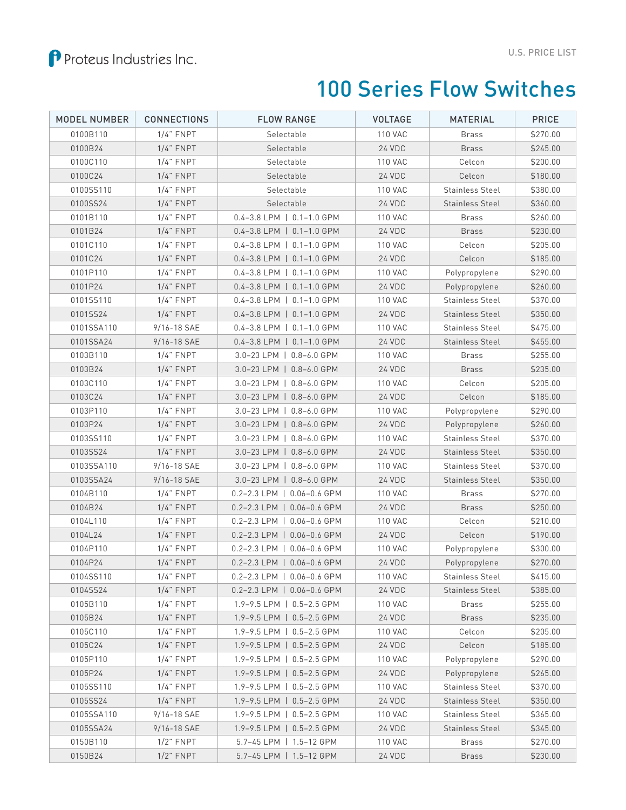## 100 Series Flow Switches

| <b>MODEL NUMBER</b> | <b>CONNECTIONS</b> | <b>FLOW RANGE</b>                        | <b>VOLTAGE</b> | <b>MATERIAL</b>        | <b>PRICE</b> |
|---------------------|--------------------|------------------------------------------|----------------|------------------------|--------------|
| 0100B110            | $1/4$ " FNPT       | Selectable                               | <b>110 VAC</b> | <b>Brass</b>           | \$270.00     |
| 0100B24             | $1/4$ " FNPT       | Selectable                               | 24 VDC         | <b>Brass</b>           | \$245.00     |
| 0100C110            | $1/4$ " FNPT       | Selectable                               | <b>110 VAC</b> | Celcon                 | \$200.00     |
| 0100C24             | $1/4$ " FNPT       | Selectable                               | 24 VDC         | Celcon                 | \$180.00     |
| 0100SS110           | $1/4$ " FNPT       | Selectable                               | <b>110 VAC</b> | Stainless Steel        | \$380.00     |
| 0100SS24            | $1/4$ " FNPT       | Selectable                               | 24 VDC         | <b>Stainless Steel</b> | \$360.00     |
| 0101B110            | $1/4$ " FNPT       | 0.4-3.8 LPM   0.1-1.0 GPM                | <b>110 VAC</b> | <b>Brass</b>           | \$260.00     |
| 0101B24             | $1/4$ " FNPT       | 0.4-3.8 LPM   0.1-1.0 GPM                | 24 VDC         | <b>Brass</b>           | \$230.00     |
| 0101C110            | $1/4$ " FNPT       | $0.4 - 3.8$ LPM $\vert$ 0.1-1.0 GPM      | <b>110 VAC</b> | Celcon                 | \$205.00     |
| 0101C24             | $1/4$ " FNPT       | 0.4-3.8 LPM   0.1-1.0 GPM                | 24 VDC         | Celcon                 | \$185.00     |
| 0101P110            | $1/4$ " FNPT       | $0.4 - 3.8$ LPM $\vert$ 0.1-1.0 GPM      | <b>110 VAC</b> | Polypropylene          | \$290.00     |
| 0101P24             | $1/4$ " FNPT       | $0.4 - 3.8$ LPM $\vert$ 0.1-1.0 GPM      | 24 VDC         | Polypropylene          | \$260.00     |
| 0101SS110           | $1/4$ " FNPT       | $0.4 - 3.8$ LPM $\vert$ 0.1-1.0 GPM      | <b>110 VAC</b> | <b>Stainless Steel</b> | \$370.00     |
| 0101SS24            | $1/4$ " FNPT       | $0.4 - 3.8$ LPM $\vert$ 0.1-1.0 GPM      | 24 VDC         | Stainless Steel        | \$350.00     |
| 0101SSA110          | 9/16-18 SAE        | $0.4 - 3.8$ LPM $\vert$ 0.1-1.0 GPM      | <b>110 VAC</b> | <b>Stainless Steel</b> | \$475.00     |
| 0101SSA24           | 9/16-18 SAE        | 0.4-3.8 LPM   0.1-1.0 GPM                | 24 VDC         | <b>Stainless Steel</b> | \$455.00     |
| 0103B110            | $1/4$ " FNPT       | 3.0-23 LPM   0.8-6.0 GPM                 | <b>110 VAC</b> | <b>Brass</b>           | \$255.00     |
| 0103B24             | $1/4$ " FNPT       | 3.0-23 LPM   0.8-6.0 GPM                 | 24 VDC         | <b>Brass</b>           | \$235.00     |
| 0103C110            | $1/4$ " FNPT       | 3.0-23 LPM   0.8-6.0 GPM                 | <b>110 VAC</b> | Celcon                 | \$205.00     |
| 0103C24             | $1/4$ " FNPT       | 3.0-23 LPM   0.8-6.0 GPM                 | 24 VDC         | Celcon                 | \$185.00     |
| 0103P110            | $1/4$ " FNPT       | 3.0-23 LPM   0.8-6.0 GPM                 | <b>110 VAC</b> | Polypropylene          | \$290.00     |
| 0103P24             | $1/4$ " FNPT       | 3.0-23 LPM   0.8-6.0 GPM                 | 24 VDC         | Polypropylene          | \$260.00     |
| 0103SS110           | $1/4$ " FNPT       | 3.0-23 LPM   0.8-6.0 GPM                 | <b>110 VAC</b> | <b>Stainless Steel</b> | \$370.00     |
| 0103SS24            | $1/4$ " FNPT       | 3.0-23 LPM   0.8-6.0 GPM                 | 24 VDC         | <b>Stainless Steel</b> | \$350.00     |
| 0103SSA110          | 9/16-18 SAE        | 3.0-23 LPM   0.8-6.0 GPM                 | <b>110 VAC</b> | <b>Stainless Steel</b> | \$370.00     |
| 0103SSA24           | 9/16-18 SAE        | 3.0-23 LPM   0.8-6.0 GPM                 | 24 VDC         | <b>Stainless Steel</b> | \$350.00     |
| 0104B110            | $1/4$ " FNPT       | 0.2-2.3 LPM   0.06-0.6 GPM               | <b>110 VAC</b> | <b>Brass</b>           | \$270.00     |
| 0104B24             | $1/4$ " FNPT       | $0.2 - 2.3$ LPM $\parallel$ 0.06-0.6 GPM | 24 VDC         | <b>Brass</b>           | \$250.00     |
| 0104L110            | $1/4$ " FNPT       | $0.2 - 2.3$ LPM $\vert$ 0.06-0.6 GPM     | <b>110 VAC</b> | Celcon                 | \$210.00     |
| 0104L24             | $1/4$ " FNPT       | 0.2-2.3 LPM   0.06-0.6 GPM               | 24 VDC         | Celcon                 | \$190.00     |
| 0104P110            | $1/4$ " FNPT       | $0.2 - 2.3$ LPM $\vert$ 0.06-0.6 GPM     | <b>110 VAC</b> | Polypropylene          | \$300.00     |
| 0104P24             | $1/4$ " FNPT       | $0.2 - 2.3$ LPM $\parallel$ 0.06-0.6 GPM | 24 VDC         | Polypropylene          | \$270.00     |
| 0104SS110           | $1/4$ " $FNPT$     | 0.2-2.3 LPM   0.06-0.6 GPM               | <b>110 VAC</b> | <b>Stainless Steel</b> | \$415.00     |
| 0104SS24            | $1/4$ " FNPT       | 0.2-2.3 LPM   0.06-0.6 GPM               | 24 VDC         | <b>Stainless Steel</b> | \$385.00     |
| 0105B110            | $1/4$ " $FNPT$     | 1.9-9.5 LPM   0.5-2.5 GPM                | <b>110 VAC</b> | <b>Brass</b>           | \$255.00     |
| 0105B24             | $1/4$ " FNPT       | 1.9-9.5 LPM   0.5-2.5 GPM                | 24 VDC         | <b>Brass</b>           | \$235.00     |
| 0105C110            | $1/4$ " FNPT       | 1.9-9.5 LPM   0.5-2.5 GPM                | <b>110 VAC</b> | Celcon                 | \$205.00     |
| 0105C24             | $1/4$ " FNPT       | 1.9-9.5 LPM   0.5-2.5 GPM                | 24 VDC         | Celcon                 | \$185.00     |
| 0105P110            | $1/4$ " FNPT       | 1.9-9.5 LPM   0.5-2.5 GPM                | <b>110 VAC</b> | Polypropylene          | \$290.00     |
| 0105P24             | $1/4$ " FNPT       | 1.9-9.5 LPM   0.5-2.5 GPM                | 24 VDC         | Polypropylene          | \$265.00     |
| 0105SS110           | $1/4$ " FNPT       | 1.9-9.5 LPM   0.5-2.5 GPM                | <b>110 VAC</b> | <b>Stainless Steel</b> | \$370.00     |
| 0105SS24            | $1/4$ " FNPT       | 1.9-9.5 LPM   0.5-2.5 GPM                | 24 VDC         | <b>Stainless Steel</b> | \$350.00     |
| 0105SSA110          | 9/16-18 SAE        | 1.9-9.5 LPM   0.5-2.5 GPM                | <b>110 VAC</b> | <b>Stainless Steel</b> | \$365.00     |
| 0105SSA24           | 9/16-18 SAE        | 1.9-9.5 LPM   0.5-2.5 GPM                | 24 VDC         | <b>Stainless Steel</b> | \$345.00     |
| 0150B110            | $1/2$ " FNPT       | 5.7-45 LPM   1.5-12 GPM                  | <b>110 VAC</b> | Brass                  | \$270.00     |
| 0150B24             | $1/2$ " FNPT       | 5.7-45 LPM   1.5-12 GPM                  | 24 VDC         | <b>Brass</b>           | \$230.00     |